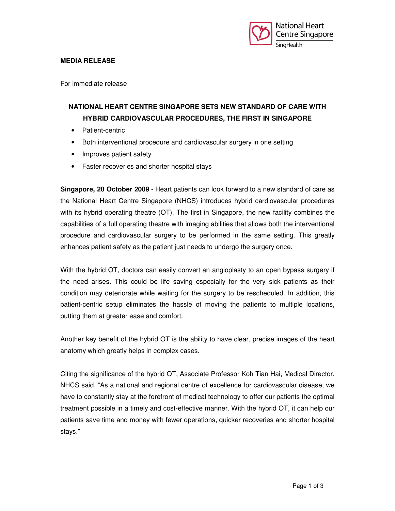

## **MEDIA RELEASE**

For immediate release

## **NATIONAL HEART CENTRE SINGAPORE SETS NEW STANDARD OF CARE WITH HYBRID CARDIOVASCULAR PROCEDURES, THE FIRST IN SINGAPORE**

- Patient-centric
- Both interventional procedure and cardiovascular surgery in one setting
- Improves patient safety
- Faster recoveries and shorter hospital stays

**Singapore, 20 October 2009** - Heart patients can look forward to a new standard of care as the National Heart Centre Singapore (NHCS) introduces hybrid cardiovascular procedures with its hybrid operating theatre (OT). The first in Singapore, the new facility combines the capabilities of a full operating theatre with imaging abilities that allows both the interventional procedure and cardiovascular surgery to be performed in the same setting. This greatly enhances patient safety as the patient just needs to undergo the surgery once.

With the hybrid OT, doctors can easily convert an angioplasty to an open bypass surgery if the need arises. This could be life saving especially for the very sick patients as their condition may deteriorate while waiting for the surgery to be rescheduled. In addition, this patient-centric setup eliminates the hassle of moving the patients to multiple locations, putting them at greater ease and comfort.

Another key benefit of the hybrid OT is the ability to have clear, precise images of the heart anatomy which greatly helps in complex cases.

Citing the significance of the hybrid OT, Associate Professor Koh Tian Hai, Medical Director, NHCS said, "As a national and regional centre of excellence for cardiovascular disease, we have to constantly stay at the forefront of medical technology to offer our patients the optimal treatment possible in a timely and cost-effective manner. With the hybrid OT, it can help our patients save time and money with fewer operations, quicker recoveries and shorter hospital stays."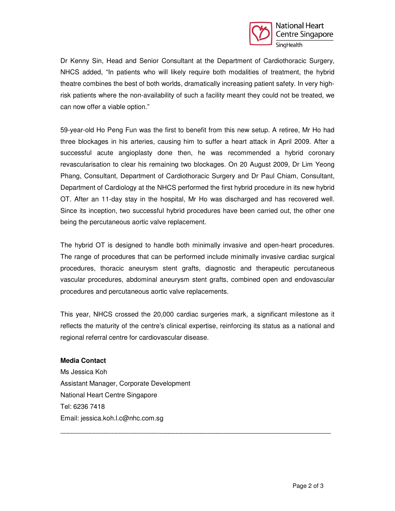

Dr Kenny Sin, Head and Senior Consultant at the Department of Cardiothoracic Surgery, NHCS added, "In patients who will likely require both modalities of treatment, the hybrid theatre combines the best of both worlds, dramatically increasing patient safety. In very highrisk patients where the non-availability of such a facility meant they could not be treated, we can now offer a viable option."

59-year-old Ho Peng Fun was the first to benefit from this new setup. A retiree, Mr Ho had three blockages in his arteries, causing him to suffer a heart attack in April 2009. After a successful acute angioplasty done then, he was recommended a hybrid coronary revascularisation to clear his remaining two blockages. On 20 August 2009, Dr Lim Yeong Phang, Consultant, Department of Cardiothoracic Surgery and Dr Paul Chiam, Consultant, Department of Cardiology at the NHCS performed the first hybrid procedure in its new hybrid OT. After an 11-day stay in the hospital, Mr Ho was discharged and has recovered well. Since its inception, two successful hybrid procedures have been carried out, the other one being the percutaneous aortic valve replacement.

The hybrid OT is designed to handle both minimally invasive and open-heart procedures. The range of procedures that can be performed include minimally invasive cardiac surgical procedures, thoracic aneurysm stent grafts, diagnostic and therapeutic percutaneous vascular procedures, abdominal aneurysm stent grafts, combined open and endovascular procedures and percutaneous aortic valve replacements.

This year, NHCS crossed the 20,000 cardiac surgeries mark, a significant milestone as it reflects the maturity of the centre's clinical expertise, reinforcing its status as a national and regional referral centre for cardiovascular disease.

\_\_\_\_\_\_\_\_\_\_\_\_\_\_\_\_\_\_\_\_\_\_\_\_\_\_\_\_\_\_\_\_\_\_\_\_\_\_\_\_\_\_\_\_\_\_\_\_\_\_\_\_\_\_\_\_\_\_\_\_\_\_\_\_\_\_\_\_\_

## **Media Contact**

Ms Jessica Koh Assistant Manager, Corporate Development National Heart Centre Singapore Tel: 6236 7418 Email: jessica.koh.l.c@nhc.com.sg